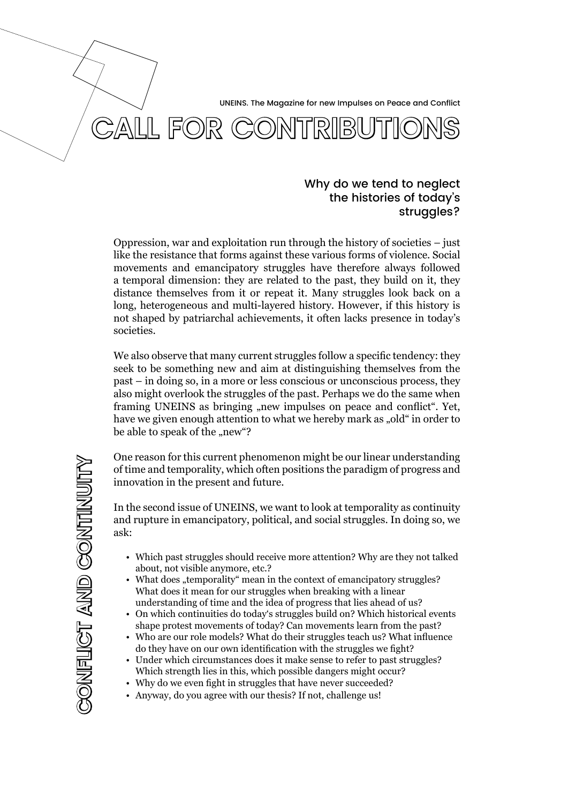UNEINS. The Magazine for new Impulses on Peace and Conflict



# Why do we tend to neglect the histories of today's struggles?

Oppression, war and exploitation run through the history of societies – just like the resistance that forms against these various forms of violence. Social movements and emancipatory struggles have therefore always followed a temporal dimension: they are related to the past, they build on it, they distance themselves from it or repeat it. Many struggles look back on a long, heterogeneous and multi-layered history. However, if this history is not shaped by patriarchal achievements, it often lacks presence in today's societies.

We also observe that many current struggles follow a specific tendency: they seek to be something new and aim at distinguishing themselves from the past – in doing so, in a more or less conscious or unconscious process, they also might overlook the struggles of the past. Perhaps we do the same when framing UNEINS as bringing "new impulses on peace and conflict". Yet, have we given enough attention to what we hereby mark as "old" in order to be able to speak of the "new"?

One reason for this current phenomenon might be our linear understanding of time and temporality, which often positions the paradigm of progress and innovation in the present and future.

In the second issue of UNEINS, we want to look at temporality as continuity and rupture in emancipatory, political, and social struggles. In doing so, we ask:

- Which past struggles should receive more attention? Why are they not talked about, not visible anymore, etc.?
- What does "temporality" mean in the context of emancipatory struggles? What does it mean for our struggles when breaking with a linear understanding of time and the idea of progress that lies ahead of us?
- On which continuities do today's struggles build on? Which historical events shape protest movements of today? Can movements learn from the past?
- Who are our role models? What do their struggles teach us? What influence do they have on our own identification with the struggles we fight?
- Under which circumstances does it make sense to refer to past struggles? Which strength lies in this, which possible dangers might occur?
- Why do we even fight in struggles that have never succeeded?
- Anyway, do you agree with our thesis? If not, challenge us!